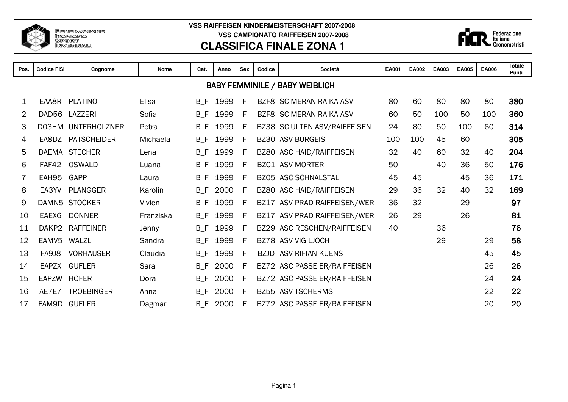

**VSS RAIFFEISEN KINDERMEISTERSCHAFT 2007-2008 VSS CAMPIONATO RAIFFEISEN 2007-2008**

## **CLASSIFICA FINALE ZONA 1**



| Pos. | <b>Codice FISI</b> | Cognome             | Società<br><b>Nome</b><br>Cat.<br><b>Sex</b><br>Codice<br>Anno |       |      |   |             |                                       |     | <b>EA002</b> | EA003 | <b>EA005</b> | <b>EA006</b> | <b>Totale</b><br>Punti |
|------|--------------------|---------------------|----------------------------------------------------------------|-------|------|---|-------------|---------------------------------------|-----|--------------|-------|--------------|--------------|------------------------|
|      |                    |                     |                                                                |       |      |   |             | <b>BABY FEMMINILE / BABY WEIBLICH</b> |     |              |       |              |              |                        |
| 1    | EAA8R              | <b>PLATINO</b>      | Elisa                                                          | B F   | 1999 | F |             | BZF8 SC MERAN RAIKA ASV               | 80  | 60           | 80    | 80           | 80           | 380                    |
| 2    |                    | DAD56 LAZZERI       | Sofia                                                          | $B_F$ | 1999 | F |             | <b>BZF8 SC MERAN RAIKA ASV</b>        | 60  | 50           | 100   | 50           | 100          | 360                    |
| 3    | D03HM              | <b>UNTERHOLZNER</b> | Petra                                                          | $B_F$ | 1999 | F |             | BZ38 SC ULTEN ASV/RAIFFEISEN          | 24  | 80           | 50    | 100          | 60           | 314                    |
| 4    | EA8DZ              | <b>PATSCHEIDER</b>  | Michaela                                                       | $B_F$ | 1999 | F | <b>BZ30</b> | <b>ASV BURGEIS</b>                    | 100 | 100          | 45    | 60           |              | 305                    |
| 5    |                    | DAEMA STECHER       | Lena                                                           | $B_F$ | 1999 | F |             | BZ80 ASC HAID/RAIFFEISEN              | 32  | 40           | 60    | 32           | 40           | 204                    |
| 6    | FAF42              | <b>OSWALD</b>       | Luana                                                          | $B_F$ | 1999 | F |             | <b>BZC1 ASV MORTER</b>                | 50  |              | 40    | 36           | 50           | 176                    |
|      | EAH95              | GAPP                | Laura                                                          | $B_F$ | 1999 | F | <b>BZ05</b> | ASC SCHNALSTAL                        | 45  | 45           |       | 45           | 36           | 171                    |
| 8    | EA3YV              | <b>PLANGGER</b>     | Karolin                                                        | $B_F$ | 2000 | F |             | BZ80 ASC HAID/RAIFFEISEN              | 29  | 36           | 32    | 40           | 32           | 169                    |
| 9    |                    | DAMN5 STOCKER       | Vivien                                                         | $B_F$ | 1999 | F | <b>BZ17</b> | ASV PRAD RAIFFEISEN/WER               | 36  | 32           |       | 29           |              | 97                     |
| 10   | EAEX6              | <b>DONNER</b>       | Franziska                                                      | $B_F$ | 1999 | F |             | BZ17 ASV PRAD RAIFFEISEN/WER          | 26  | 29           |       | 26           |              | 81                     |
| 11   | DAKP2              | <b>RAFFEINER</b>    | Jenny                                                          | $B_F$ | 1999 | F |             | BZ29 ASC RESCHEN/RAIFFEISEN           | 40  |              | 36    |              |              | 76                     |
| 12   | EAMV5              | WALZL               | Sandra                                                         | $B_F$ | 1999 | F |             | <b>BZ78 ASV VIGILJOCH</b>             |     |              | 29    |              | 29           | 58                     |
| 13   | FA9J8              | <b>VORHAUSER</b>    | Claudia                                                        | B F   | 1999 | F | <b>BZJD</b> | <b>ASV RIFIAN KUENS</b>               |     |              |       |              | 45           | 45                     |
| 14   | EAPZX              | <b>GUFLER</b>       | Sara                                                           | $B_F$ | 2000 | F |             | BZ72 ASC PASSEIER/RAIFFEISEN          |     |              |       |              | 26           | 26                     |
| 15   | EAPZW              | <b>HOFER</b>        | Dora                                                           | $B_F$ | 2000 | F |             | BZ72 ASC PASSEIER/RAIFFEISEN          |     |              |       |              | 24           | 24                     |
| 16   | AE7E7              | <b>TROEBINGER</b>   | Anna                                                           | $B_F$ | 2000 | F | <b>BZ55</b> | <b>ASV TSCHERMS</b>                   |     |              |       |              | 22           | 22                     |
| 17   | FAM9D              | <b>GUFLER</b>       | Dagmar                                                         | $B_F$ | 2000 | F | <b>BZ72</b> | ASC PASSEIER/RAIFFEISEN               |     |              |       |              | 20           | 20                     |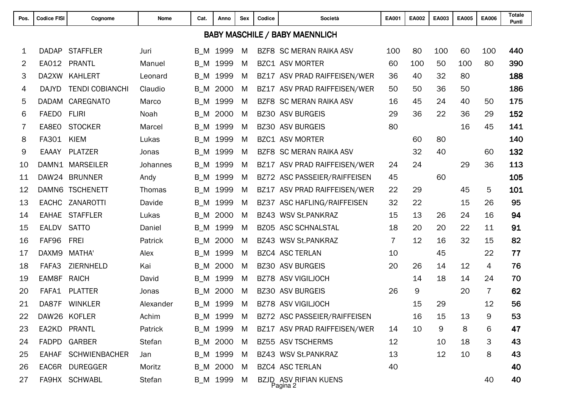| Pos.           | <b>Codice FISI</b> | Cognome                | Nome      | Società<br>Cat.<br>Anno<br><b>Sex</b><br>Codice |          |   |             | EA001                                    | EA002          | EA003 | <b>EA005</b> | <b>EA006</b> | <b>Totale</b><br>Punti |     |
|----------------|--------------------|------------------------|-----------|-------------------------------------------------|----------|---|-------------|------------------------------------------|----------------|-------|--------------|--------------|------------------------|-----|
|                |                    |                        |           |                                                 |          |   |             | <b>BABY MASCHILE / BABY MAENNLICH</b>    |                |       |              |              |                        |     |
| 1              | <b>DADAP</b>       | <b>STAFFLER</b>        | Juri      | $B_{M}$                                         | 1999     | M |             | <b>BZF8 SC MERAN RAIKA ASV</b>           | 100            | 80    | 100          | 60           | 100                    | 440 |
| $\overline{2}$ | EA012              | <b>PRANTL</b>          | Manuel    | $B$ <sub>_</sub> M                              | 1999     | M |             | <b>BZC1 ASV MORTER</b>                   | 60             | 100   | 50           | 100          | 80                     | 390 |
| 3              | DA2XW              | <b>KAHLERT</b>         | Leonard   | $B$ <sub>_</sub> M                              | 1999     | M |             | BZ17 ASV PRAD RAIFFEISEN/WER             | 36             | 40    | 32           | 80           |                        | 188 |
| 4              | <b>DAJYD</b>       | <b>TENDI COBIANCHI</b> | Claudio   | $B$ <sub>_</sub> M                              | 2000     | M |             | BZ17 ASV PRAD RAIFFEISEN/WER             | 50             | 50    | 36           | 50           |                        | 186 |
| 5              | <b>DADAM</b>       | CAREGNATO              | Marco     | $B$ <sub>_</sub> M                              | 1999     | M | BZF8        | <b>SC MERAN RAIKA ASV</b>                | 16             | 45    | 24           | 40           | 50                     | 175 |
| 6              | <b>FAEDO</b>       | <b>FLIRI</b>           | Noah      | $B$ <sub>_</sub> M                              | 2000     | M | <b>BZ30</b> | <b>ASV BURGEIS</b>                       | 29             | 36    | 22           | 36           | 29                     | 152 |
| 7              | EA8E0              | <b>STOCKER</b>         | Marcel    | $B$ <sub>_</sub> M                              | 1999     | M | <b>BZ30</b> | <b>ASV BURGEIS</b>                       | 80             |       |              | 16           | 45                     | 141 |
| 8              | FA301              | <b>KIEM</b>            | Lukas     | $B$ <sub>_</sub> M                              | 1999     | M |             | <b>BZC1 ASV MORTER</b>                   |                | 60    | 80           |              |                        | 140 |
| 9              | <b>EAAAY</b>       | <b>PLATZER</b>         | Jonas     | $B_{M}$                                         | 1999     | M |             | BZF8 SC MERAN RAIKA ASV                  |                | 32    | 40           |              | 60                     | 132 |
| 10             |                    | DAMN1 MARSEILER        | Johannes  | $B$ <sub>_</sub> M                              | 1999     | M |             | BZ17 ASV PRAD RAIFFEISEN/WER             | 24             | 24    |              | 29           | 36                     | 113 |
| 11             |                    | DAW24 BRUNNER          | Andy      | $B$ <sub>_</sub> M                              | 1999     | M |             | BZ72 ASC PASSEIER/RAIFFEISEN             | 45             |       | 60           |              |                        | 105 |
| 12             | DAMN6              | <b>TSCHENETT</b>       | Thomas    | $B$ <sub>_</sub> M                              | 1999     | M |             | BZ17 ASV PRAD RAIFFEISEN/WER             | 22             | 29    |              | 45           | 5                      | 101 |
| 13             | <b>EACHC</b>       | ZANAROTTI              | Davide    | $B$ <sub>_</sub> M                              | 1999     | M | BZ37        | ASC HAFLING/RAIFFEISEN                   | 32             | 22    |              | 15           | 26                     | 95  |
| 14             | <b>EAHAE</b>       | <b>STAFFLER</b>        | Lukas     | $B$ <sub>_</sub> M                              | 2000     | M |             | BZ43 WSV St.PANKRAZ                      | 15             | 13    | 26           | 24           | 16                     | 94  |
| 15             | <b>EALDV</b>       | <b>SATTO</b>           | Daniel    | $B$ <sub>_</sub> M                              | 1999     | M | <b>BZ05</b> | <b>ASC SCHNALSTAL</b>                    | 18             | 20    | 20           | 22           | 11                     | 91  |
| 16             | FAF96              | <b>FREI</b>            | Patrick   | $B$ <sub>_</sub> M                              | 2000     | M |             | BZ43 WSV St.PANKRAZ                      | $\overline{7}$ | 12    | 16           | 32           | 15                     | 82  |
| 17             | DAXM9              | <b>MATHA'</b>          | Alex      | $B_{M}$                                         | 1999     | M |             | <b>BZC4 ASC TERLAN</b>                   | 10             |       | 45           |              | 22                     | 77  |
| 18             | FAFA3              | ZIERNHELD              | Kai       | $B$ <sub>_</sub> M                              | 2000     | M |             | <b>BZ30 ASV BURGEIS</b>                  | 20             | 26    | 14           | 12           | 4                      | 76  |
| 19             | EAM8F              | <b>RAICH</b>           | David     | $B$ <sub>_</sub> M                              | 1999     | M |             | <b>BZ78 ASV VIGILJOCH</b>                |                | 14    | 18           | 14           | 24                     | 70  |
| 20             | FAFA1              | <b>PLATTER</b>         | Jonas     | $B$ <sub>_</sub> M                              | 2000     | M |             | <b>BZ30 ASV BURGEIS</b>                  | 26             | 9     |              | 20           | $\overline{7}$         | 62  |
| 21             | DA87F              | <b>WINKLER</b>         | Alexander | $B$ <sub>_</sub> M                              | 1999     | M |             | BZ78 ASV VIGILJOCH                       |                | 15    | 29           |              | 12                     | 56  |
| 22             |                    | DAW26 KOFLER           | Achim     |                                                 | B_M 1999 | M |             | BZ72 ASC PASSEIER/RAIFFEISEN             |                | 16    | 15           | 13           | 9                      | 53  |
| 23             |                    | EA2KD PRANTL           | Patrick   |                                                 | B_M 1999 | M |             | BZ17 ASV PRAD RAIFFEISEN/WER             | 14             | 10    | 9            | 8            | 6                      | 47  |
| 24             |                    | FADPD GARBER           | Stefan    |                                                 | B_M 2000 | M |             | BZ55 ASV TSCHERMS                        | 12             |       | 10           | 18           | 3                      | 43  |
| 25             | <b>EAHAF</b>       | <b>SCHWIENBACHER</b>   | Jan       |                                                 | B_M 1999 | M |             | BZ43 WSV St.PANKRAZ                      | 13             |       | 12           | 10           | 8                      | 43  |
| 26             |                    | EAC6R DUREGGER         | Moritz    |                                                 | B_M 2000 | M |             | <b>BZC4 ASC TERLAN</b>                   | 40             |       |              |              |                        | 40  |
| 27             |                    | FA9HX SCHWABL          | Stefan    |                                                 | B_M 1999 | M |             | <b>BZJD ASV RIFIAN KUENS</b><br>Pagina 2 |                |       |              |              | 40                     | 40  |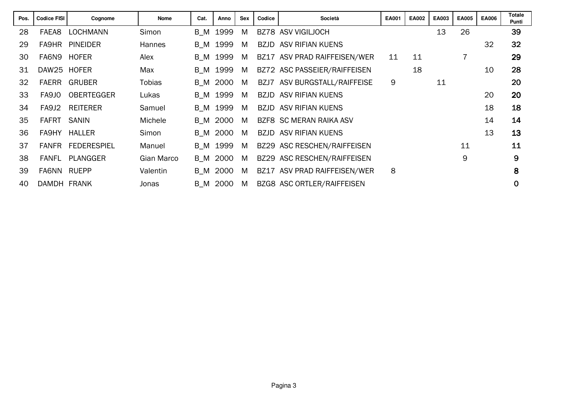| Pos. | <b>Codice FISI</b> | Cognome            | <b>Nome</b>   | Cat. | Anno     | <b>Sex</b> | Codice      | Società                      | EA001 | <b>EA002</b> | EA003 | <b>EA005</b> | <b>EA006</b> | <b>Totale</b><br>Punti |
|------|--------------------|--------------------|---------------|------|----------|------------|-------------|------------------------------|-------|--------------|-------|--------------|--------------|------------------------|
| 28   | FAEA <sub>8</sub>  | <b>LOCHMANN</b>    | Simon         | B M  | 1999     | M          |             | BZ78 ASV VIGILJOCH           |       |              | 13    | 26           |              | 39                     |
| 29   | FA9HR              | <b>PINEIDER</b>    | <b>Hannes</b> | B M  | 1999     | M          | BZJD        | ASV RIFIAN KUENS             |       |              |       |              | 32           | 32                     |
| 30   | FA6N9              | <b>HOFER</b>       | Alex          | B M  | 1999     | M          |             | BZ17 ASV PRAD RAIFFEISEN/WER | 11    | 11           |       |              |              | 29                     |
| 31   | DAW25 HOFER        |                    | Max           | B M  | 1999     | M          |             | BZ72 ASC PASSEIER/RAIFFEISEN |       | 18           |       |              | 10           | 28                     |
| 32   | <b>FAERR</b>       | <b>GRUBER</b>      | <b>Tobias</b> |      | B M 2000 | M          |             | BZJ7 ASV BURGSTALL/RAIFFEISE | 9     |              | 11    |              |              | 20                     |
| 33   | FA9JO              | <b>OBERTEGGER</b>  | Lukas         | B M  | 1999     | M          | <b>BZJD</b> | ASV RIFIAN KUENS             |       |              |       |              | 20           | 20                     |
| 34   | FA9J2              | <b>REITERER</b>    | Samuel        |      | B M 1999 | M          |             | <b>BZJD ASV RIFIAN KUENS</b> |       |              |       |              | 18           | 18                     |
| 35   | <b>FAFRT</b>       | <b>SANIN</b>       | Michele       | B M  | 2000     | M          |             | BZF8 SC MERAN RAIKA ASV      |       |              |       |              | 14           | 14                     |
| 36   | FA9HY              | <b>HALLER</b>      | Simon         |      | B M 2000 | M          |             | <b>BZJD ASV RIFIAN KUENS</b> |       |              |       |              | 13           | 13                     |
| 37   | <b>FANFR</b>       | <b>FEDERESPIEL</b> | Manuel        |      | B M 1999 | M          |             | BZ29 ASC RESCHEN/RAIFFEISEN  |       |              |       | 11           |              | 11                     |
| 38   | <b>FANFL</b>       | PLANGGER           | Gian Marco    | B M  | 2000     | M          |             | BZ29 ASC RESCHEN/RAIFFEISEN  |       |              |       | 9            |              | 9                      |
| 39   | FA6NN              | RUEPP              | Valentin      | B M  | 2000     | M          |             | BZ17 ASV PRAD RAIFFEISEN/WER | 8     |              |       |              |              | 8                      |
| 40   | DAMDH FRANK        |                    | Jonas         | B M  | 2000     | M          |             | BZG8 ASC ORTLER/RAIFFEISEN   |       |              |       |              |              | $\mathbf 0$            |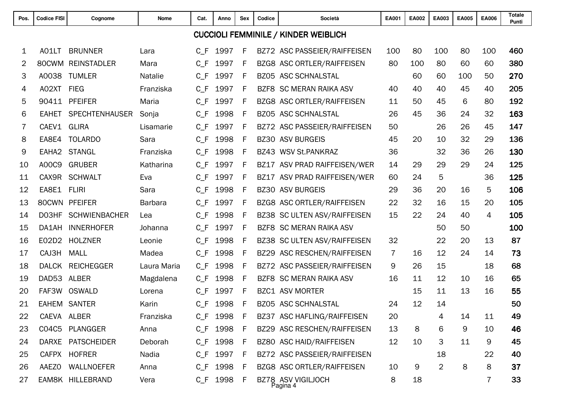| Pos.           | <b>Codice FISI</b> | Cognome               | <b>Nome</b>    | Società<br>Codice<br>Cat.<br>Anno<br><b>Sex</b> |          |             |             | <b>EA001</b>                                | EA002          | EA003 | <b>EA005</b>   | <b>EA006</b> | <b>Totale</b><br>Punti |     |
|----------------|--------------------|-----------------------|----------------|-------------------------------------------------|----------|-------------|-------------|---------------------------------------------|----------------|-------|----------------|--------------|------------------------|-----|
|                |                    |                       |                |                                                 |          |             |             | <b>CUCCIOLI FEMMINILE / KINDER WEIBLICH</b> |                |       |                |              |                        |     |
| 1              | A01LT              | <b>BRUNNER</b>        | Lara           | $C_F$                                           | 1997     | F           |             | BZ72 ASC PASSEIER/RAIFFEISEN                | 100            | 80    | 100            | 80           | 100                    | 460 |
| $\overline{2}$ | 80CWM              | <b>REINSTADLER</b>    | Mara           | $C_F$                                           | 1997     | F           |             | BZG8 ASC ORTLER/RAIFFEISEN                  | 80             | 100   | 80             | 60           | 60                     | 380 |
| 3              | A0038              | <b>TUMLER</b>         | Natalie        | $C_F$                                           | 1997     | F           |             | BZ05 ASC SCHNALSTAL                         |                | 60    | 60             | 100          | 50                     | 270 |
| 4              | A02XT              | <b>FIEG</b>           | Franziska      | $C_F$                                           | 1997     | F           | BZF8        | <b>SC MERAN RAIKA ASV</b>                   | 40             | 40    | 40             | 45           | 40                     | 205 |
| 5              | 90411              | <b>PFEIFER</b>        | Maria          | $C_F$                                           | 1997     | F           |             | BZG8 ASC ORTLER/RAIFFEISEN                  | 11             | 50    | 45             | 6            | 80                     | 192 |
| 6              | <b>EAHET</b>       | <b>SPECHTENHAUSER</b> | Sonja          | $C$ $F$                                         | 1998     | F           | <b>BZ05</b> | <b>ASC SCHNALSTAL</b>                       | 26             | 45    | 36             | 24           | 32                     | 163 |
| 7              | CAEV1              | <b>GLIRA</b>          | Lisamarie      | $C$ $F$                                         | 1997     | F           |             | BZ72 ASC PASSEIER/RAIFFEISEN                | 50             |       | 26             | 26           | 45                     | 147 |
| 8              | EA8E4              | <b>TOLARDO</b>        | Sara           | $C$ $F$                                         | 1998     | F           | <b>BZ30</b> | <b>ASV BURGEIS</b>                          | 45             | 20    | 10             | 32           | 29                     | 136 |
| 9              | EAHA <sub>2</sub>  | <b>STANGL</b>         | Franziska      | $C$ $F$                                         | 1998     | F           |             | BZ43 WSV St.PANKRAZ                         | 36             |       | 32             | 36           | 26                     | 130 |
| 10             | A00C9              | <b>GRUBER</b>         | Katharina      | $C_F$                                           | 1997     | F           |             | BZ17 ASV PRAD RAIFFEISEN/WER                | 14             | 29    | 29             | 29           | 24                     | 125 |
| 11             | CAX9R              | <b>SCHWALT</b>        | Eva            | $C_F$                                           | 1997     | F           |             | BZ17 ASV PRAD RAIFFEISEN/WER                | 60             | 24    | 5              |              | 36                     | 125 |
| 12             | EA8E1              | <b>FLIRI</b>          | Sara           | $C_F$                                           | 1998     | F           | <b>BZ30</b> | <b>ASV BURGEIS</b>                          | 29             | 36    | 20             | 16           | 5                      | 106 |
| 13             |                    | 80CWN PFEIFER         | <b>Barbara</b> | $C_F$                                           | 1997     | F           |             | BZG8 ASC ORTLER/RAIFFEISEN                  | 22             | 32    | 16             | 15           | 20                     | 105 |
| 14             | D03HF              | <b>SCHWIENBACHER</b>  | Lea            | $C$ F                                           | 1998     | F           | BZ38        | SC ULTEN ASV/RAIFFEISEN                     | 15             | 22    | 24             | 40           | 4                      | 105 |
| 15             | DA1AH              | <b>INNERHOFER</b>     | Johanna        | $C$ $F$                                         | 1997     | F           | BZF8        | <b>SC MERAN RAIKA ASV</b>                   |                |       | 50             | 50           |                        | 100 |
| 16             | E02D2              | <b>HOLZNER</b>        | Leonie         | C F                                             | 1998     | F           |             | BZ38 SC ULTEN ASV/RAIFFEISEN                | 32             |       | 22             | 20           | 13                     | 87  |
| 17             | CAJ3H              | <b>MALL</b>           | Madea          | $C_F$                                           | 1998     | F           | <b>BZ29</b> | ASC RESCHEN/RAIFFEISEN                      | $\overline{7}$ | 16    | 12             | 24           | 14                     | 73  |
| 18             | <b>DALCK</b>       | <b>REICHEGGER</b>     | Laura Maria    | $C_F$                                           | 1998     | F           |             | BZ72 ASC PASSEIER/RAIFFEISEN                | 9              | 26    | 15             |              | 18                     | 68  |
| 19             | DAD53              | <b>ALBER</b>          | Magdalena      | $C$ $F$                                         | 1998     | F           | BZF8        | <b>SC MERAN RAIKA ASV</b>                   | 16             | 11    | 12             | 10           | 16                     | 65  |
| 20             | FAF3W              | <b>OSWALD</b>         | Lorena         | $C_F$                                           | 1997     | F           |             | <b>BZC1 ASV MORTER</b>                      |                | 15    | 11             | 13           | 16                     | 55  |
| 21             |                    | <b>EAHEM SANTER</b>   | Karin          | $C$ F                                           | 1998     | F           |             | BZ05 ASC SCHNALSTAL                         | 24             | 12    | 14             |              |                        | 50  |
| 22             | CAEVA ALBER        |                       | Franziska      | $C_F$                                           | 1998     | $\mathsf F$ |             | BZ37 ASC HAFLING/RAIFFEISEN                 | 20             |       | 4              | 14           | 11                     | 49  |
| 23             | C04C5              | PLANGGER              | Anna           | $C_F$                                           | 1998     | -F          |             | BZ29 ASC RESCHEN/RAIFFEISEN                 | 13             | 8     | 6              | 9            | 10                     | 46  |
| 24             |                    | DARXE PATSCHEIDER     | Deborah        |                                                 | C_F 1998 | -F          |             | BZ80 ASC HAID/RAIFFEISEN                    | 12             | 10    | 3              | 11           | 9                      | 45  |
| 25             |                    | CAFPX HOFRER          | Nadia          | $C_F$                                           | 1997     | F           |             | BZ72 ASC PASSEIER/RAIFFEISEN                |                |       | 18             |              | 22                     | 40  |
| 26             | <b>AAEZO</b>       | WALLNOEFER            | Anna           |                                                 | C_F 1998 | - F         |             | BZG8 ASC ORTLER/RAIFFEISEN                  | 10             | 9     | $\overline{2}$ | 8            | 8                      | 37  |
| 27             |                    | EAM8K HILLEBRAND      | Vera           |                                                 | C_F 1998 | - F         |             | BZ78 ASV VIGILJOCH<br>Pagina 4              | 8              | 18    |                |              | 7                      | 33  |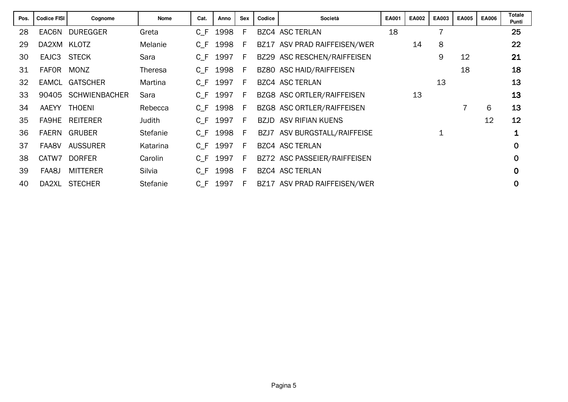| Pos. | <b>Codice FISI</b> | Cognome              | <b>Nome</b>     | Cat.  | Anno | Sex | Codice | Società                      | EA001 | <b>EA002</b> | EA003          | <b>EA005</b> | <b>EA006</b> | <b>Totale</b><br>Punti  |
|------|--------------------|----------------------|-----------------|-------|------|-----|--------|------------------------------|-------|--------------|----------------|--------------|--------------|-------------------------|
| 28   | EAC6N              | <b>DUREGGER</b>      | Greta           | C F   | 1998 | F   |        | <b>BZC4 ASC TERLAN</b>       | 18    |              | $\overline{7}$ |              |              | 25                      |
| 29   | DA2XM KLOTZ        |                      | Melanie         | $C_F$ | 1998 | F   | BZ17   | ASV PRAD RAIFFEISEN/WER      |       | 14           | 8              |              |              | 22                      |
| 30   | EAJC3 STECK        |                      | Sara            | $C_F$ | 1997 | E   |        | BZ29 ASC RESCHEN/RAIFFEISEN  |       |              | 9              | 12           |              | 21                      |
| 31   | <b>FAFOR</b>       | <b>MONZ</b>          | <b>Theresa</b>  | $C_F$ | 1998 | F   |        | BZ80 ASC HAID/RAIFFEISEN     |       |              |                | 18           |              | 18                      |
| 32   |                    | EAMCL GATSCHER       | Martina         | C F   | 1997 | F.  |        | <b>BZC4 ASC TERLAN</b>       |       |              | 13             |              |              | 13                      |
| 33   | 90405              | <b>SCHWIENBACHER</b> | Sara            | C F   | 1997 | F   |        | BZG8 ASC ORTLER/RAIFFEISEN   |       | 13           |                |              |              | 13                      |
| 34   |                    | AAEYY THOENI         | Rebecca         | $C_F$ | 1998 | F   |        | BZG8 ASC ORTLER/RAIFFEISEN   |       |              |                |              | 6            | 13                      |
| 35   | FA9HE              | <b>REITERER</b>      | Judith          | C F   | 1997 | E   |        | <b>BZJD ASV RIFIAN KUENS</b> |       |              |                |              | 12           | 12                      |
| 36   |                    | FAERN GRUBER         | <b>Stefanie</b> | $C_F$ | 1998 | E   |        | BZJ7 ASV BURGSTALL/RAIFFEISE |       |              |                |              |              | $\overline{\mathbf{1}}$ |
| 37   | FAA8V              | <b>AUSSURER</b>      | Katarina        | C F   | 1997 | F.  |        | <b>BZC4 ASC TERLAN</b>       |       |              |                |              |              | $\mathbf 0$             |
| 38   | CATW7              | <b>DORFER</b>        | Carolin         | C F   | 1997 | F.  |        | BZ72 ASC PASSEIER/RAIFFEISEN |       |              |                |              |              | $\Omega$                |
| 39   | FAA8J              | <b>MITTERER</b>      | Silvia          | C F   | 1998 | -F  |        | <b>BZC4 ASC TERLAN</b>       |       |              |                |              |              | $\mathbf 0$             |
| 40   | DA2XL              | <b>STECHER</b>       | <b>Stefanie</b> | C F   | 1997 | F   | BZ17   | ASV PRAD RAIFFEISEN/WER      |       |              |                |              |              | $\mathbf 0$             |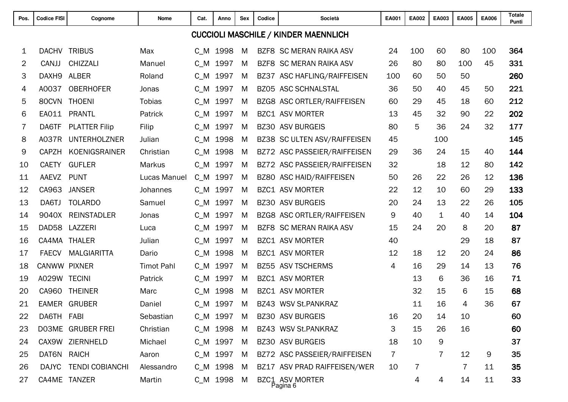| Pos.           | <b>Codice FISI</b> | Cognome               | Nome              | Cat.    | Anno       | <b>Sex</b><br>Codice<br>Società |             |                                             | EA001 | EA002 | EA003       | <b>EA005</b> | <b>EA006</b> | <b>Totale</b><br>Punti |
|----------------|--------------------|-----------------------|-------------------|---------|------------|---------------------------------|-------------|---------------------------------------------|-------|-------|-------------|--------------|--------------|------------------------|
|                |                    |                       |                   |         |            |                                 |             | <b>CUCCIOLI MASCHILE / KINDER MAENNLICH</b> |       |       |             |              |              |                        |
| 1              | <b>DACHV</b>       | <b>TRIBUS</b>         | Max               | $C_{M}$ | 1998       | M                               |             | <b>BZF8 SC MERAN RAIKA ASV</b>              | 24    | 100   | 60          | 80           | 100          | 364                    |
| $\overline{2}$ | CANJJ              | CHIZZALI              | Manuel            | $C_{M}$ | 1997       | M                               |             | BZF8 SC MERAN RAIKA ASV                     | 26    | 80    | 80          | 100          | 45           | 331                    |
| 3              | DAXH <sub>9</sub>  | <b>ALBER</b>          | Roland            | $C_{M}$ | 1997       | M                               | BZ37        | ASC HAFLING/RAIFFEISEN                      | 100   | 60    | 50          | 50           |              | 260                    |
| 4              | A0037              | <b>OBERHOFER</b>      | Jonas             | $C_{M}$ | 1997       | M                               |             | <b>BZ05 ASC SCHNALSTAL</b>                  | 36    | 50    | 40          | 45           | 50           | 221                    |
| 5              | 80CVN              | <b>THOENI</b>         | <b>Tobias</b>     | $C_{M}$ | 1997       | M                               |             | BZG8 ASC ORTLER/RAIFFEISEN                  | 60    | 29    | 45          | 18           | 60           | 212                    |
| 6              | EA011              | <b>PRANTL</b>         | Patrick           | $C_{M}$ | 1997       | M                               |             | <b>BZC1 ASV MORTER</b>                      | 13    | 45    | 32          | 90           | 22           | 202                    |
| 7              | DA6TF              | <b>PLATTER Filip</b>  | Filip             | $C_{M}$ | 1997       | M                               | <b>BZ30</b> | <b>ASV BURGEIS</b>                          | 80    | 5     | 36          | 24           | 32           | 177                    |
| 8              | A037R              | <b>UNTERHOLZNER</b>   | Julian            | $C_{M}$ | 1998       | M                               | BZ38        | SC ULTEN ASV/RAIFFEISEN                     | 45    |       | 100         |              |              | 145                    |
| 9              | <b>CAPZH</b>       | KOENIGSRAINER         | Christian         | $C_{M}$ | 1998       | M                               |             | BZ72 ASC PASSEIER/RAIFFEISEN                | 29    | 36    | 24          | 15           | 40           | 144                    |
| 10             | <b>CAETY</b>       | <b>GUFLER</b>         | <b>Markus</b>     | $C_M$   | 1997       | M                               |             | BZ72 ASC PASSEIER/RAIFFEISEN                | 32    |       | 18          | 12           | 80           | 142                    |
| 11             | AAEVZ              | <b>PUNT</b>           | Lucas Manuel      | $C_{M}$ | 1997       | M                               | <b>BZ80</b> | <b>ASC HAID/RAIFFEISEN</b>                  | 50    | 26    | 22          | 26           | 12           | 136                    |
| 12             | CA963              | <b>JANSER</b>         | Johannes          | $C_{M}$ | 1997       | M                               | BZC1        | <b>ASV MORTER</b>                           | 22    | 12    | 10          | 60           | 29           | 133                    |
| 13             | DA6TJ              | <b>TOLARDO</b>        | Samuel            | $C_{M}$ | 1997       | M                               | <b>BZ30</b> | <b>ASV BURGEIS</b>                          | 20    | 24    | 13          | 22           | 26           | 105                    |
| 14             | 9040X              | <b>REINSTADLER</b>    | Jonas             | $C_{M}$ | 1997       | M                               |             | BZG8 ASC ORTLER/RAIFFEISEN                  | 9     | 40    | $\mathbf 1$ | 40           | 14           | 104                    |
| 15             | DAD58              | LAZZERI               | Luca              | $C_{M}$ | 1997       | M                               | BZF8        | <b>SC MERAN RAIKA ASV</b>                   | 15    | 24    | 20          | 8            | 20           | 87                     |
| 16             | CA4MA              | <b>THALER</b>         | Julian            | $C_{M}$ | 1997       | M                               |             | <b>BZC1 ASV MORTER</b>                      | 40    |       |             | 29           | 18           | 87                     |
| 17             | <b>FAECV</b>       | <b>MALGIARITTA</b>    | Dario             | $C_{M}$ | 1998       | M                               | BZC1        | <b>ASV MORTER</b>                           | 12    | 18    | 12          | 20           | 24           | 86                     |
| 18             | CANWW PIXNER       |                       | <b>Timot Pahl</b> | $C_{M}$ | 1997       | M                               |             | BZ55 ASV TSCHERMS                           | 4     | 16    | 29          | 14           | 13           | 76                     |
| 19             | A029W TECINI       |                       | Patrick           | $C_{M}$ | 1997       | M                               |             | <b>BZC1 ASV MORTER</b>                      |       | 13    | 6           | 36           | 16           | 71                     |
| 20             | CA960              | <b>THEINER</b>        | Marc              | $C_{M}$ | 1998       | M                               |             | <b>BZC1 ASV MORTER</b>                      |       | 32    | 15          | 6            | 15           | 68                     |
| 21             | EAMER              | <b>GRUBER</b>         | Daniel            | C M     | 1997       | M                               | <b>BZ43</b> | <b>WSV St.PANKRAZ</b>                       |       | 11    | 16          | 4            | 36           | 67                     |
| 22             | DA6TH FABI         |                       | Sebastian         |         | C_M 1997   | M                               |             | <b>BZ30 ASV BURGEIS</b>                     | 16    | 20    | 14          | 10           |              | 60                     |
| 23             |                    | DO3ME GRUBER FREI     | Christian         |         | C_M 1998   | M                               |             | BZ43 WSV St.PANKRAZ                         | 3     | 15    | 26          | 16           |              | 60                     |
| 24             |                    | CAX9W ZIERNHELD       | Michael           |         | C_M 1997   | M                               |             | <b>BZ30 ASV BURGEIS</b>                     | 18    | 10    | 9           |              |              | 37                     |
| 25             | DAT6N RAICH        |                       | Aaron             |         | C_M 1997   | M                               |             | BZ72 ASC PASSEIER/RAIFFEISEN                | 7     |       | 7           | 12           | 9            | 35                     |
| 26             |                    | DAJYC TENDI COBIANCHI | Alessandro        |         | C_M 1998   | M                               |             | BZ17 ASV PRAD RAIFFEISEN/WER                | 10    | 7     |             |              | 11           | 35                     |
| 27             |                    | CA4ME TANZER          | Martin            |         | C_M 1998 M |                                 |             | BZC1 ASV MORTER<br>Pagina 6                 |       | 4     | 4           | 14           | 11           | 33                     |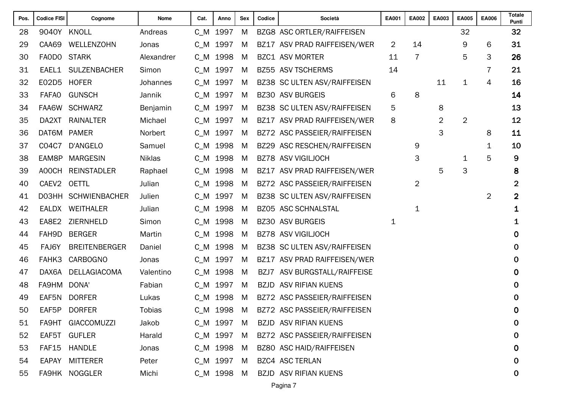| 9040Y KNOLL<br>C_M 1997<br>BZG8 ASC ORTLER/RAIFFEISEN<br>32<br>28<br>Andreas<br>M<br>CAA69<br>WELLENZOHN<br>C_M 1997<br>14<br>9<br>29<br>BZ17 ASV PRAD RAIFFEISEN/WER<br>$\overline{2}$<br>Jonas<br>M | 6<br>3         | 32               |
|-------------------------------------------------------------------------------------------------------------------------------------------------------------------------------------------------------|----------------|------------------|
|                                                                                                                                                                                                       |                |                  |
|                                                                                                                                                                                                       |                | 31               |
| $\overline{7}$<br>5<br>FAODO<br><b>STARK</b><br>C_M 1998<br><b>BZC1 ASV MORTER</b><br>30<br>Alexandrer<br>M<br>11                                                                                     |                | 26               |
| <b>SULZENBACHER</b><br>C_M 1997<br>BZ55 ASV TSCHERMS<br>14<br>31<br>EAEL1<br>Simon<br>M                                                                                                               | 7              | 21               |
| E02D5<br><b>HOFER</b><br>C_M 1997<br>BZ38 SC ULTEN ASV/RAIFFEISEN<br>11<br>1<br>32<br>Johannes<br>M                                                                                                   | 4              | 16               |
| 8<br><b>GUNSCH</b><br>C_M 1997<br><b>BZ30 ASV BURGEIS</b><br>6<br>33<br><b>FAFAO</b><br>Jannik<br>M                                                                                                   |                | 14               |
| 5<br>FAA6W SCHWARZ<br>C_M 1997<br>BZ38 SC ULTEN ASV/RAIFFEISEN<br>8<br>34<br>Benjamin<br>M                                                                                                            |                | 13               |
| 8<br>$\overline{2}$<br>$\overline{2}$<br>35<br>DA2XT RAINALTER<br>C_M 1997<br>Michael<br>M<br>BZ17 ASV PRAD RAIFFEISEN/WER                                                                            |                | 12               |
| 3<br>DAT6M PAMER<br>C_M 1997<br>36<br>Norbert<br>BZ72 ASC PASSEIER/RAIFFEISEN<br>M                                                                                                                    | 8              | 11               |
| C04C7<br>C_M 1998<br>BZ29 ASC RESCHEN/RAIFFEISEN<br>37<br>D'ANGELO<br>Samuel<br>M<br>9                                                                                                                | 1              | 10               |
| 3<br><b>MARGESIN</b><br>C_M 1998<br><b>BZ78 ASV VIGILJOCH</b><br>38<br>EAM8P<br><b>Niklas</b><br>M<br>1                                                                                               | 5              | 9                |
| 3<br>5<br>A00CH<br><b>REINSTADLER</b><br>C_M 1998<br>ASV PRAD RAIFFEISEN/WER<br>39<br>Raphael<br>M<br><b>BZ17</b>                                                                                     |                | 8                |
| $\overline{2}$<br>CAEV2<br><b>OETTL</b><br>C_M 1998<br>40<br>Julian<br>BZ72 ASC PASSEIER/RAIFFEISEN<br>M                                                                                              |                | $\boldsymbol{2}$ |
| DO3HH SCHWIENBACHER<br>C_M 1997<br>41<br>BZ38 SC ULTEN ASV/RAIFFEISEN<br>Julien<br>M                                                                                                                  | $\overline{2}$ | $\overline{2}$   |
| <b>WEITHALER</b><br>C_M 1998<br>BZ05 ASC SCHNALSTAL<br>42<br>EALDX<br>Julian<br>M<br>$\mathbf 1$                                                                                                      |                | 1                |
| EA8E2<br>ZIERNHELD<br>C_M 1998<br><b>BZ30 ASV BURGEIS</b><br>43<br>Simon<br>M<br>1                                                                                                                    |                | 1                |
| C_M 1998<br>FAH9D<br><b>BERGER</b><br><b>BZ78 ASV VIGILJOCH</b><br>44<br>Martin<br>M                                                                                                                  |                | 0                |
| <b>BREITENBERGER</b><br>C_M 1998<br>45<br>FAJ6Y<br>BZ38 SC ULTEN ASV/RAIFFEISEN<br>Daniel<br>M                                                                                                        |                | 0                |
| FAHK3<br><b>CARBOGNO</b><br>C_M 1997<br>46<br>BZ17 ASV PRAD RAIFFEISEN/WER<br>Jonas<br>M                                                                                                              |                | 0                |
| DELLAGIACOMA<br>C_M 1998<br>47<br>DAX6A<br>Valentino<br>M<br>ASV BURGSTALL/RAIFFEISE<br>BZJ7                                                                                                          |                | 0                |
| FA9HM<br>DONA'<br>$C_M$<br>1997<br><b>ASV RIFIAN KUENS</b><br>48<br>Fabian<br>M<br><b>BZJD</b>                                                                                                        |                | 0                |
| C_M 1998<br>49<br>EAF5N<br><b>DORFER</b><br>M<br>BZ72 ASC PASSEIER/RAIFFEISEN<br>Lukas                                                                                                                |                | 0                |
| EAF5P<br><b>DORFER</b><br>1998<br>BZ72 ASC PASSEIER/RAIFFEISEN<br>50<br><b>Tobias</b><br>C M<br>M                                                                                                     |                | $\mathbf 0$      |
| FA9HT GIACCOMUZZI<br>C_M 1997<br><b>BZJD ASV RIFIAN KUENS</b><br>Jakob<br>51<br>M                                                                                                                     |                | $\bf{0}$         |
| EAF5T GUFLER<br>Harald<br>C_M 1997<br>BZ72 ASC PASSEIER/RAIFFEISEN<br>52<br>M                                                                                                                         |                | $\mathbf 0$      |
| BZ80 ASC HAID/RAIFFEISEN<br>53<br>FAF15<br>HANDLE<br>C_M 1998<br>Jonas<br>M                                                                                                                           |                | $\bf{0}$         |
| C_M 1997<br><b>BZC4 ASC TERLAN</b><br>EAPAY MITTERER<br>Peter<br>M<br>54                                                                                                                              |                | 0                |
| FA9HK NOGGLER<br><b>BZJD ASV RIFIAN KUENS</b><br>Michi<br>C_M 1998<br>M<br>55                                                                                                                         |                | $\mathbf 0$      |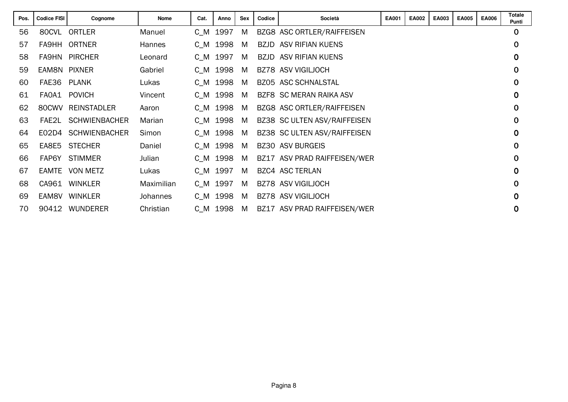| Pos. | <b>Codice FISI</b> | Cognome              | <b>Nome</b> | Cat.    | Anno     | <b>Sex</b> | Codice | Società<br>EA001             |  | <b>EA002</b> | EA003 | EA005 | <b>EA006</b> | Totale<br>Punti |
|------|--------------------|----------------------|-------------|---------|----------|------------|--------|------------------------------|--|--------------|-------|-------|--------------|-----------------|
| 56   | 80CVL              | ORTLER               | Manuel      | C M     | 1997     | M          |        | BZG8 ASC ORTLER/RAIFFEISEN   |  |              |       |       |              | $\mathbf 0$     |
| 57   |                    | FA9HH ORTNER         | Hannes      | C M     | 1998     | M          |        | <b>BZJD ASV RIFIAN KUENS</b> |  |              |       |       |              | $\mathbf 0$     |
| 58   | <b>FA9HN</b>       | <b>PIRCHER</b>       | Leonard     | $C_M$   | 1997     | M          |        | <b>BZJD ASV RIFIAN KUENS</b> |  |              |       |       |              | $\mathbf 0$     |
| 59   | EAM8N PIXNER       |                      | Gabriel     | C M     | 1998     | M          |        | BZ78 ASV VIGILJOCH           |  |              |       |       |              | $\mathbf 0$     |
| 60   | FAE36 PLANK        |                      | Lukas       |         | C M 1998 | M          |        | <b>BZ05 ASC SCHNALSTAL</b>   |  |              |       |       |              | $\mathbf 0$     |
| 61   | FAOA1              | <b>POVICH</b>        | Vincent     | C M     | 1998     | M          |        | BZF8 SC MERAN RAIKA ASV      |  |              |       |       |              | $\mathbf 0$     |
| 62   | 80CWV              | <b>REINSTADLER</b>   | Aaron       | C M     | 1998     | M          |        | BZG8 ASC ORTLER/RAIFFEISEN   |  |              |       |       |              | $\mathbf 0$     |
| 63   |                    | FAE2L SCHWIENBACHER  | Marian      |         | C M 1998 | M          |        | BZ38 SC ULTEN ASV/RAIFFEISEN |  |              |       |       |              | $\mathbf 0$     |
| 64   | E02D4              | <b>SCHWIENBACHER</b> | Simon       | C M     | 1998     | M          |        | BZ38 SC ULTEN ASV/RAIFFEISEN |  |              |       |       |              | $\mathbf 0$     |
| 65   | EA8E5              | <b>STECHER</b>       | Daniel      | C M     | 1998     | M          |        | <b>BZ30 ASV BURGEIS</b>      |  |              |       |       |              | $\mathbf 0$     |
| 66   | FAP6Y              | <b>STIMMER</b>       | Julian      | C M     | 1998     | M          |        | BZ17 ASV PRAD RAIFFEISEN/WER |  |              |       |       |              | $\mathbf 0$     |
| 67   | EAMTE              | <b>VON METZ</b>      | Lukas       | C M     | 1997     | M          |        | BZC4 ASC TERLAN              |  |              |       |       |              | $\mathbf 0$     |
| 68   | CA961              | <b>WINKLER</b>       | Maximilian  | C M     | 1997     | M          |        | <b>BZ78 ASV VIGILJOCH</b>    |  |              |       |       |              | $\mathbf 0$     |
| 69   | EAM8V              | <b>WINKLER</b>       | Johannes    | C M     | 1998     | M          |        | <b>BZ78 ASV VIGILJOCH</b>    |  |              |       |       |              | $\mathbf 0$     |
| 70   | 90412              | <b>WUNDERER</b>      | Christian   | $C_{M}$ | 1998     | M          |        | BZ17 ASV PRAD RAIFFEISEN/WER |  |              |       |       |              | 0               |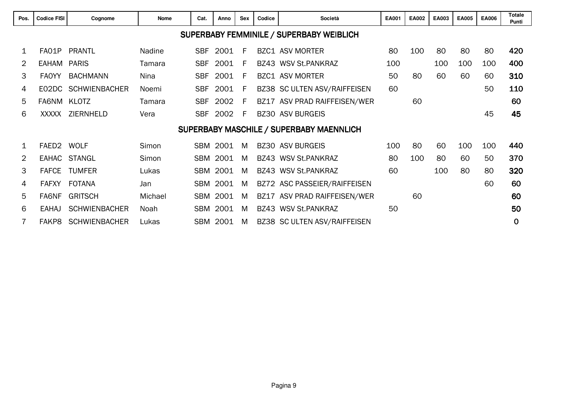| Pos.           | <b>Codice FISI</b>                                                                                     | Sex<br>Codice<br>Società<br>Cognome<br><b>Nome</b><br>Cat.<br>Anno |                              |            |          |    |  |                                          | <b>EA001</b> | <b>EA002</b> | EA003 | <b>EA005</b> | <b>EA006</b> | <b>Totale</b><br>Punti |
|----------------|--------------------------------------------------------------------------------------------------------|--------------------------------------------------------------------|------------------------------|------------|----------|----|--|------------------------------------------|--------------|--------------|-------|--------------|--------------|------------------------|
|                |                                                                                                        |                                                                    |                              |            |          |    |  | SUPERBABY FEMMINILE / SUPERBABY WEIBLICH |              |              |       |              |              |                        |
|                | FA01P                                                                                                  | <b>PRANTL</b>                                                      | <b>Nadine</b>                | <b>SBF</b> | 2001     | F  |  | <b>BZC1 ASV MORTER</b>                   | 80           | 100          | 80    | 80           | 80           | 420                    |
| $\overline{2}$ | <b>EAHAM</b>                                                                                           | <b>PARIS</b>                                                       | Tamara                       | <b>SBF</b> | 2001     | F. |  | BZ43 WSV St.PANKRAZ                      | 100          |              | 100   | 100          | 100          | 400                    |
| 3              | <b>FAOYY</b>                                                                                           | <b>BACHMANN</b>                                                    | Nina                         | <b>SBF</b> | 2001     | F. |  | <b>BZC1 ASV MORTER</b>                   | 50           | 80           | 60    | 60           | 60           | 310                    |
| 4              |                                                                                                        | EO2DC SCHWIENBACHER                                                | BZ38 SC ULTEN ASV/RAIFFEISEN | 60         |          |    |  | 50                                       | 110          |              |       |              |              |                        |
| 5              | FA6NM KLOTZ                                                                                            |                                                                    | BZ17 ASV PRAD RAIFFEISEN/WER |            | 60       |    |  |                                          | 60           |              |       |              |              |                        |
| 6              | <b>BZ30 ASV BURGEIS</b><br>ZIERNHELD<br>2002<br>Vera<br><b>SBF</b><br>E<br>XXXXX                       |                                                                    |                              |            |          |    |  |                                          |              |              |       |              | 45           | 45                     |
|                |                                                                                                        |                                                                    |                              |            |          |    |  | SUPERBABY MASCHILE / SUPERBABY MAENNLICH |              |              |       |              |              |                        |
|                | FAED2 WOLF                                                                                             |                                                                    | Simon                        |            | SBM 2001 | M  |  | <b>BZ30 ASV BURGEIS</b>                  | 100          | 80           | 60    | 100          | 100          | 440                    |
| $\overline{2}$ |                                                                                                        | EAHAC STANGL                                                       | Simon                        |            | SBM 2001 | M  |  | BZ43 WSV St.PANKRAZ                      | 80           | 100          | 80    | 60           | 50           | 370                    |
| 3              | <b>FAFCE</b>                                                                                           | <b>TUMFER</b>                                                      | Lukas                        |            | SBM 2001 | M  |  | BZ43 WSV St.PANKRAZ                      | 60           |              | 100   | 80           | 80           | 320                    |
| 4              | <b>FAFXY</b>                                                                                           | <b>FOTANA</b>                                                      | Jan                          | <b>SBM</b> | 2001     | M  |  | BZ72 ASC PASSEIER/RAIFFEISEN             |              |              |       |              | 60           | 60                     |
| 5              | <b>GRITSCH</b><br>2001<br>60<br>FA6NF<br>Michael<br><b>SBM</b><br>ASV PRAD RAIFFEISEN/WER<br>M<br>BZ17 |                                                                    |                              |            |          |    |  |                                          |              |              |       |              |              | 60                     |
| 6              | BZ43 WSV St.PANKRAZ<br>50<br><b>SCHWIENBACHER</b><br>2001<br><b>SBM</b><br><b>EAHAJ</b><br>Noah<br>M   |                                                                    |                              |            |          |    |  |                                          |              |              |       |              | 50           |                        |
|                | FAKP8                                                                                                  | <b>SCHWIENBACHER</b>                                               | Lukas                        |            | SBM 2001 | M  |  | BZ38 SC ULTEN ASV/RAIFFEISEN             |              |              |       |              |              | $\mathbf 0$            |
|                |                                                                                                        |                                                                    |                              |            |          |    |  |                                          |              |              |       |              |              |                        |